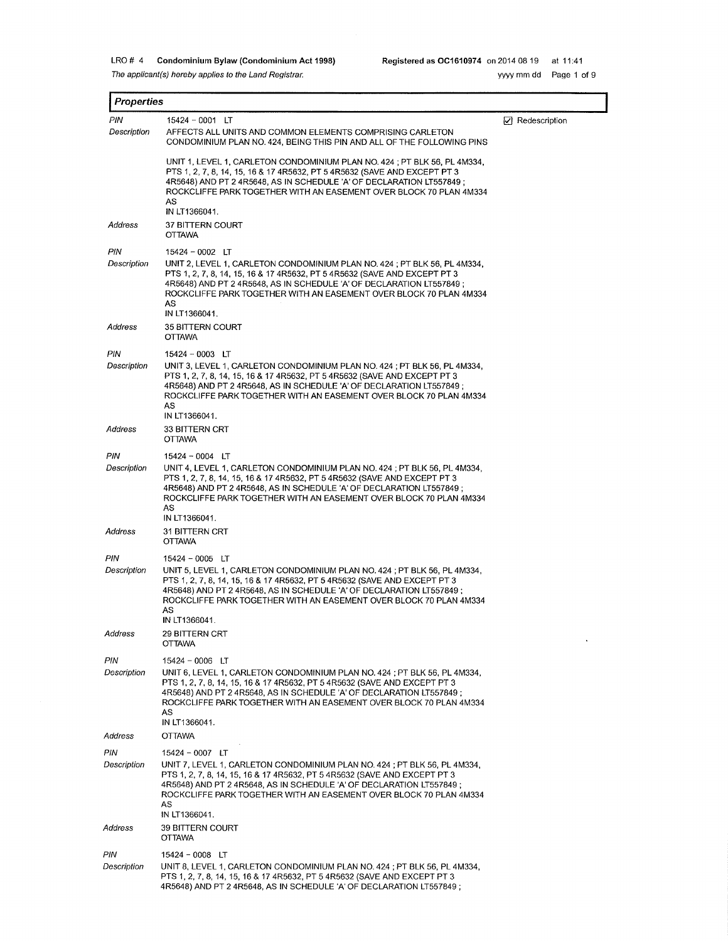The applicant(s) hereby applies to the Land Registrar.

I **Properties** 

 $\ddot{\phantom{a}}$ 

| PIN                | $15424 - 0001$ LT                                                                                                                                                                                                                                                                                                                                 | $ $ Redescription |
|--------------------|---------------------------------------------------------------------------------------------------------------------------------------------------------------------------------------------------------------------------------------------------------------------------------------------------------------------------------------------------|-------------------|
| Description        | AFFECTS ALL UNITS AND COMMON ELEMENTS COMPRISING CARLETON<br>CONDOMINIUM PLAN NO. 424, BEING THIS PIN AND ALL OF THE FOLLOWING PINS                                                                                                                                                                                                               |                   |
|                    | UNIT 1, LEVEL 1, CARLETON CONDOMINIUM PLAN NO. 424 ; PT BLK 56, PL 4M334,<br>PTS 1, 2, 7, 8, 14, 15, 16 & 17 4R5632, PT 5 4R5632 (SAVE AND EXCEPT PT 3<br>4R5648) AND PT 2 4R5648, AS IN SCHEDULE 'A' OF DECLARATION LT557849 ;<br>ROCKCLIFFE PARK TOGETHER WITH AN EASEMENT OVER BLOCK 70 PLAN 4M334<br>AS<br>IN LT1366041.                      |                   |
| Address            | 37 BITTERN COURT<br><b>OTTAWA</b>                                                                                                                                                                                                                                                                                                                 |                   |
| PIN<br>Description | $15424 - 0002$ LT<br>UNIT 2, LEVEL 1, CARLETON CONDOMINIUM PLAN NO. 424 ; PT BLK 56, PL 4M334,<br>PTS 1, 2, 7, 8, 14, 15, 16 & 17 4R5632, PT 5 4R5632 (SAVE AND EXCEPT PT 3<br>4R5648) AND PT 2 4R5648, AS IN SCHEDULE 'A' OF DECLARATION LT557849 ;<br>ROCKCLIFFE PARK TOGETHER WITH AN EASEMENT OVER BLOCK 70 PLAN 4M334<br>AS<br>IN LT1366041. |                   |
| Address            | 35 BITTERN COURT<br><b>OTTAWA</b>                                                                                                                                                                                                                                                                                                                 |                   |
| PIN<br>Description | $15424 - 0003$ LT<br>UNIT 3, LEVEL 1, CARLETON CONDOMINIUM PLAN NO. 424 ; PT BLK 56, PL 4M334,<br>PTS 1, 2, 7, 8, 14, 15, 16 & 17 4R5632, PT 5 4R5632 (SAVE AND EXCEPT PT 3<br>4R5648) AND PT 2 4R5648, AS IN SCHEDULE 'A' OF DECLARATION LT557849;<br>ROCKCLIFFE PARK TOGETHER WITH AN EASEMENT OVER BLOCK 70 PLAN 4M334<br>AS<br>IN LT1366041.  |                   |
| Address            | 33 BITTERN CRT<br><b>OTTAWA</b>                                                                                                                                                                                                                                                                                                                   |                   |
| PIN<br>Description | $15424 - 0004$ LT<br>UNIT 4, LEVEL 1, CARLETON CONDOMINIUM PLAN NO. 424 ; PT BLK 56, PL 4M334,<br>PTS 1, 2, 7, 8, 14, 15, 16 & 17 4R5632, PT 5 4R5632 (SAVE AND EXCEPT PT 3<br>4R5648) AND PT 2 4R5648, AS IN SCHEDULE 'A' OF DECLARATION LT557849 ;<br>ROCKCLIFFE PARK TOGETHER WITH AN EASEMENT OVER BLOCK 70 PLAN 4M334<br>AS<br>IN LT1366041. |                   |
| Address            | 31 BITTERN CRT<br><b>OTTAWA</b>                                                                                                                                                                                                                                                                                                                   |                   |
| PIN<br>Description | $15424 - 0005$ LT<br>UNIT 5, LEVEL 1, CARLETON CONDOMINIUM PLAN NO. 424 ; PT BLK 56, PL 4M334,<br>PTS 1, 2, 7, 8, 14, 15, 16 & 17 4R5632, PT 5 4R5632 (SAVE AND EXCEPT PT 3<br>4R5648) AND PT 2 4R5648, AS IN SCHEDULE 'A' OF DECLARATION LT557849 ;<br>ROCKCLIFFE PARK TOGETHER WITH AN EASEMENT OVER BLOCK 70 PLAN 4M334<br>AS<br>IN LT1366041. |                   |
| Address            | 29 BITTERN CRT<br><b>OTTAWA</b>                                                                                                                                                                                                                                                                                                                   |                   |
| PIN<br>Description | $15424 - 0006$ LT<br>UNIT 6, LEVEL 1, CARLETON CONDOMINIUM PLAN NO. 424 : PT BLK 56, PL 4M334.<br>PTS 1, 2, 7, 8, 14, 15, 16 & 17 4R5632, PT 5 4R5632 (SAVE AND EXCEPT PT 3<br>4R5648) AND PT 2 4R5648. AS IN SCHEDULE 'A' OF DECLARATION LT557849 :<br>ROCKCLIFFE PARK TOGETHER WITH AN EASEMENT OVER BLOCK 70 PLAN 4M334<br>AS<br>IN LT1366041. |                   |
| Address            | <b>OTTAWA</b>                                                                                                                                                                                                                                                                                                                                     |                   |
| PIN                | $15424 - 0007$ LT                                                                                                                                                                                                                                                                                                                                 |                   |
| Description        | UNIT 7, LEVEL 1, CARLETON CONDOMINIUM PLAN NO. 424 ; PT BLK 56, PL 4M334,<br>PTS 1, 2, 7, 8, 14, 15, 16 & 17 4R5632, PT 5 4R5632 (SAVE AND EXCEPT PT 3<br>4R5648) AND PT 2 4R5648, AS IN SCHEDULE 'A' OF DECLARATION LT557849 ;<br>ROCKCLIFFE PARK TOGETHER WITH AN EASEMENT OVER BLOCK 70 PLAN 4M334<br>AS<br>IN LT1366041.                      |                   |
| Address            | <b>39 BITTERN COURT</b><br><b>OTTAWA</b>                                                                                                                                                                                                                                                                                                          |                   |
| PIN<br>Description | $15424 - 0008$ LT<br>UNIT 8, LEVEL 1, CARLETON CONDOMINIUM PLAN NO. 424 ; PT BLK 56, PL 4M334,<br>PTS 1, 2, 7, 8, 14, 15, 16 & 17 4R5632, PT 5 4R5632 (SAVE AND EXCEPT PT 3                                                                                                                                                                       |                   |

4R5648) AND PT 2 4R5648, AS IN SCHEDULE 'A' OF DECLARATION LT557849 ;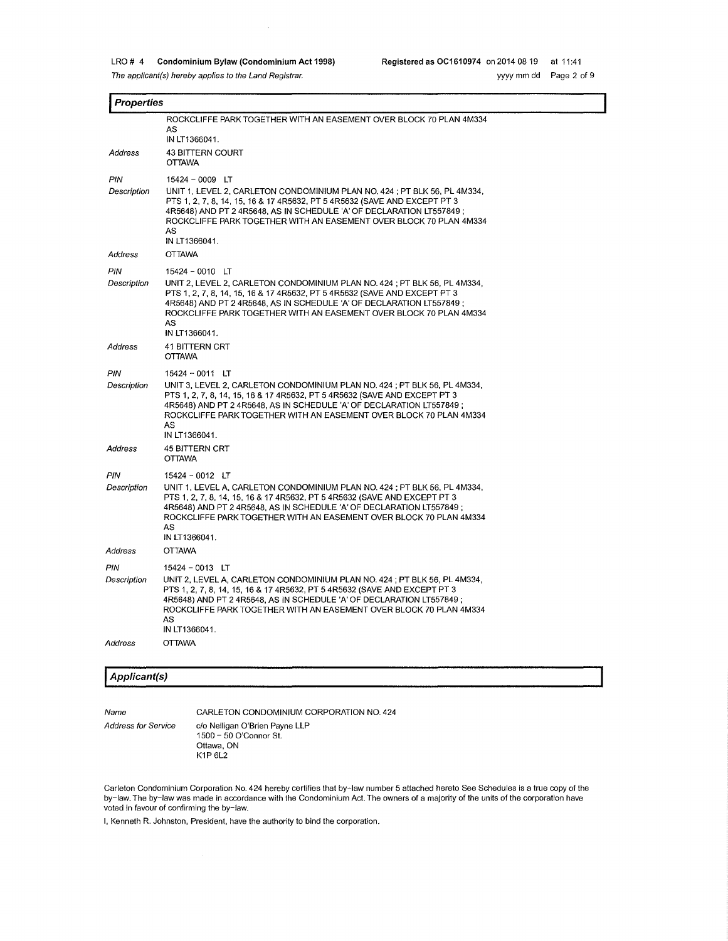$\sim$ 

| Properties         |                                                                                                                                                                                                                                                                                                                                                   |  |  |
|--------------------|---------------------------------------------------------------------------------------------------------------------------------------------------------------------------------------------------------------------------------------------------------------------------------------------------------------------------------------------------|--|--|
|                    | ROCKCLIFFE PARK TOGETHER WITH AN EASEMENT OVER BLOCK 70 PLAN 4M334<br>AS<br>IN LT1366041.                                                                                                                                                                                                                                                         |  |  |
| Address            | <b>43 BITTERN COURT</b><br><b>OTTAWA</b>                                                                                                                                                                                                                                                                                                          |  |  |
| PIN<br>Description | $15424 - 0009$ LT<br>UNIT 1, LEVEL 2, CARLETON CONDOMINIUM PLAN NO. 424 ; PT BLK 56, PL 4M334,<br>PTS 1, 2, 7, 8, 14, 15, 16 & 17 4R5632, PT 5 4R5632 (SAVE AND EXCEPT PT 3<br>4R5648) AND PT 2 4R5648, AS IN SCHEDULE 'A' OF DECLARATION LT557849 ;<br>ROCKCLIFFE PARK TOGETHER WITH AN EASEMENT OVER BLOCK 70 PLAN 4M334<br>AS<br>IN LT1366041. |  |  |
| Address            | <b>OTTAWA</b>                                                                                                                                                                                                                                                                                                                                     |  |  |
| PIN<br>Description | $15424 - 0010$ LT<br>UNIT 2, LEVEL 2, CARLETON CONDOMINIUM PLAN NO. 424 ; PT BLK 56, PL 4M334,<br>PTS 1, 2, 7, 8, 14, 15, 16 & 17 4R5632, PT 5 4R5632 (SAVE AND EXCEPT PT 3<br>4R5648) AND PT 2 4R5648, AS IN SCHEDULE 'A' OF DECLARATION LT557849 ;<br>ROCKCLIFFE PARK TOGETHER WITH AN EASEMENT OVER BLOCK 70 PLAN 4M334<br>AS<br>IN LT1366041. |  |  |
| Address            | 41 BITTERN CRT<br><b>OTTAWA</b>                                                                                                                                                                                                                                                                                                                   |  |  |
| PIN<br>Description | 15424 - 0011 LT<br>UNIT 3, LEVEL 2, CARLETON CONDOMINIUM PLAN NO. 424 ; PT BLK 56, PL 4M334,<br>PTS 1, 2, 7, 8, 14, 15, 16 & 17 4R5632, PT 5 4R5632 (SAVE AND EXCEPT PT 3<br>4R5648) AND PT 2 4R5648, AS IN SCHEDULE 'A' OF DECLARATION LT557849 ;<br>ROCKCLIFFE PARK TOGETHER WITH AN EASEMENT OVER BLOCK 70 PLAN 4M334<br>AS<br>IN LT1366041.   |  |  |
| Address            | <b>45 BITTERN CRT</b><br><b>OTTAWA</b>                                                                                                                                                                                                                                                                                                            |  |  |
| PIN<br>Description | $15424 - 0012$ LT<br>UNIT 1, LEVEL A, CARLETON CONDOMINIUM PLAN NO. 424 ; PT BLK 56, PL 4M334,<br>PTS 1, 2, 7, 8, 14, 15, 16 & 17 4R5632, PT 5 4R5632 (SAVE AND EXCEPT PT 3<br>4R5648) AND PT 2 4R5648, AS IN SCHEDULE 'A' OF DECLARATION LT557849;<br>ROCKCLIFFE PARK TOGETHER WITH AN EASEMENT OVER BLOCK 70 PLAN 4M334<br>AS<br>IN LT1366041.  |  |  |
| Address            | <b>OTTAWA</b>                                                                                                                                                                                                                                                                                                                                     |  |  |
| PIN<br>Description | $15424 - 0013$ LT<br>UNIT 2, LEVEL A, CARLETON CONDOMINIUM PLAN NO. 424 ; PT BLK 56, PL 4M334,<br>PTS 1, 2, 7, 8, 14, 15, 16 & 17 4R5632, PT 5 4R5632 (SAVE AND EXCEPT PT 3<br>4R5648) AND PT 2 4R5648, AS IN SCHEDULE 'A' OF DECLARATION LT557849 ;<br>ROCKCLIFFE PARK TOGETHER WITH AN EASEMENT OVER BLOCK 70 PLAN 4M334<br>AS<br>IN LT1366041. |  |  |
| Address            | <b>OTTAWA</b>                                                                                                                                                                                                                                                                                                                                     |  |  |
|                    |                                                                                                                                                                                                                                                                                                                                                   |  |  |

# **I Applicant(s)**

Address for Service

Name

CARLETON CONDOMINIUM CORPORATION NO. 424 c/o Nelligan O'Brien Payne LLP 1500 - 50 O'Connor St. Ottawa, ON K1P 6L2

Carleton Condominium Corporation No. 424 hereby certifies that by-law number 5 attached hereto See Schedules is a true copy of the by-law. The by-law was made in accordance with the Condominium Act. The owners of a majority of the units of the corporation have voted in favour of confirming the by-law.

I, Kenneth R. Johnston, President, have the authority to bind the corporation.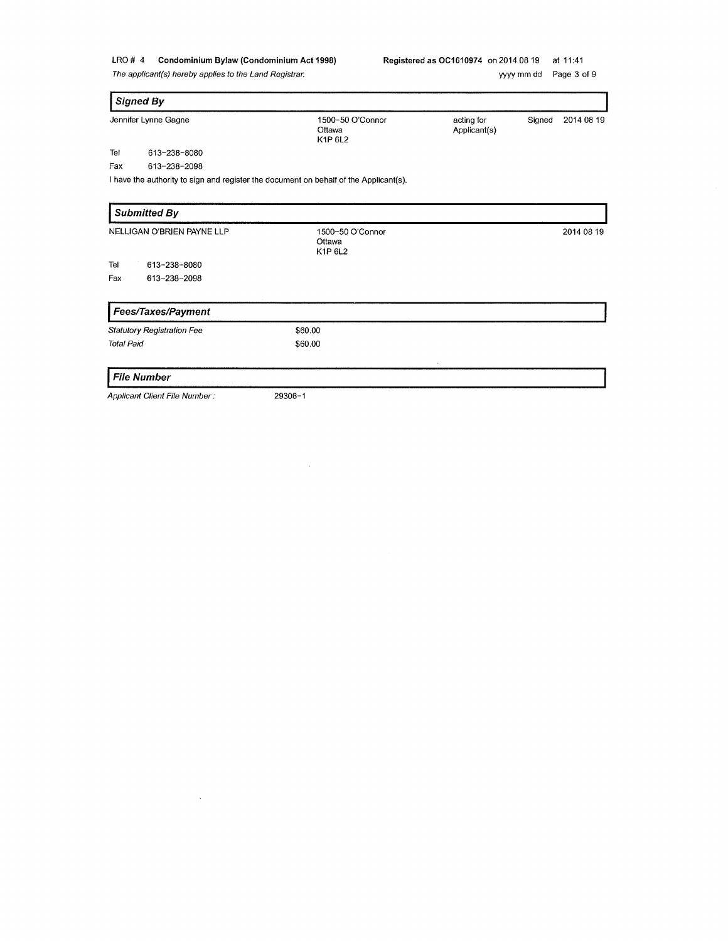The applicant(s) hereby applies to the Land Registrar.

| <b>Signed By</b>                  |                                                                                       |                            |        |            |
|-----------------------------------|---------------------------------------------------------------------------------------|----------------------------|--------|------------|
| Jennifer Lynne Gagne              | 1500-50 O'Connor<br>Ottawa<br>K1P 6L2                                                 | acting for<br>Applicant(s) | Signed | 2014 08 19 |
| Tel<br>613-238-8080               |                                                                                       |                            |        |            |
| 613-238-2098<br>Fax               |                                                                                       |                            |        |            |
|                                   | I have the authority to sign and register the document on behalf of the Applicant(s). |                            |        |            |
| <b>Submitted By</b>               |                                                                                       |                            |        |            |
| NELLIGAN O'BRIEN PAYNE LLP        | 1500~50 O'Connor<br>Ottawa<br>K1P 6L2                                                 |                            |        | 2014 08 19 |
| Tel<br>613-238-8080               |                                                                                       |                            |        |            |
| Fax<br>613-238-2098               |                                                                                       |                            |        |            |
| Fees/Taxes/Payment                |                                                                                       |                            |        |            |
| <b>Statutory Registration Fee</b> | \$60.00                                                                               |                            |        |            |
| <b>Total Paid</b>                 | \$60.00                                                                               |                            |        |            |
| <b>File Number</b>                |                                                                                       |                            |        |            |

Applicant Client File Number:

 $\mathcal{A}^{\mathcal{A}}$ 

29306-1

 $\mathcal{L}$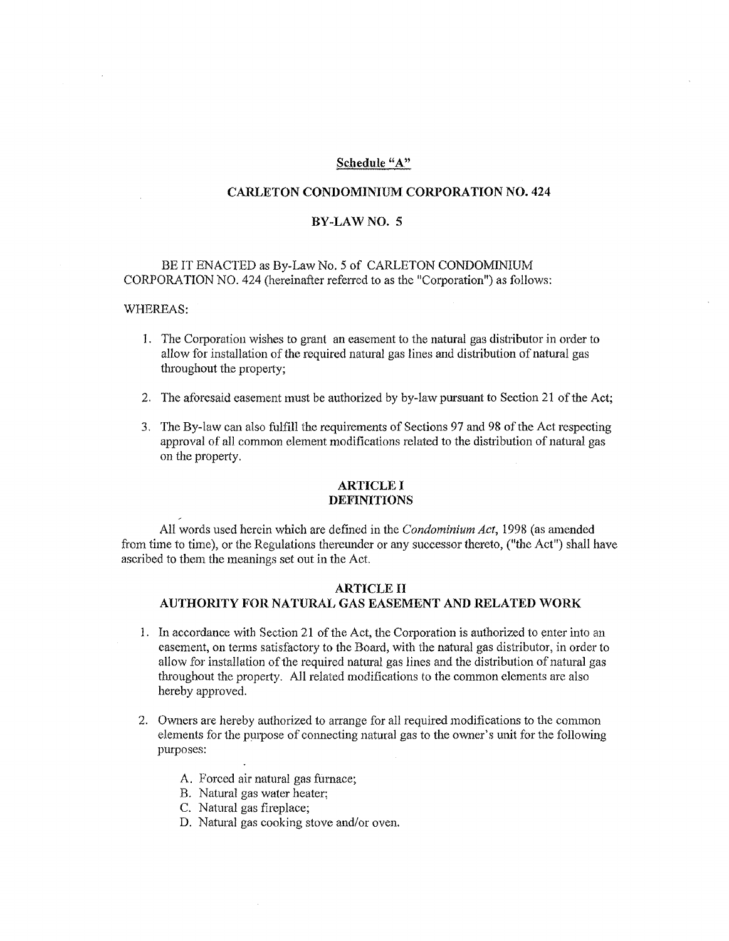# Schedule "A"

# **CARLETON CONDOMINIUM CORPORATION NO. 424**

#### **BY-LAWNO.** 5

# BE IT ENACTED as By-Law No. 5 of CARLETON CONDOMINIUM CORPORATION NO. 424 (hereinafter referred to as the "Corporation") as follows:

#### WHEREAS:

- 1. The Corporation wishes to grant an easement to the natural gas distributor in order to allow for installation of the required natural gas lines and distribution of natural gas throughout the property;
- 2. The aforesaid easement must be authorized by by-law pursuant to Section 21 of the Act;
- 3. The By-law can also fulfill the requirements of Sections 97 and 98 of the Act respecting approval of all common element modifications related to the distribution of natural gas on the property.

### **ARTICLE** I **DEFINITIONS**

All words used herein which are defined in the *Condominium Act,* 1998 (as amended from time to time), or the Regulations thereunder or any successor thereto, ("the Act") shall have ascribed to them the meanings set out in the Act.

# **ARTICLE** II **AUTHORITY FOR NATURAL GAS EASEMENT AND RELATED WORK**

- 1. In accordance with Section 21 of the Act, the Corporation is authorized to enter into an easement, on terms satisfactory to the Board, with the natural gas distributor, in order to allow for installation of the required natural gas lines and the distribution of natural gas throughout the property. AH related modifications to the common clements are also hereby approved.
- 2. Owners are hereby authorized to arrange for all required modifications to the common elements for the purpose of connecting natural gas to the ovvner' s unit for the following purposes:
	- A. Forced air natural gas fumace;
	- B. Natural gas water heater;
	- C. Natural gas fireplace;
	- D. Natural gas cooking stove and/or oven.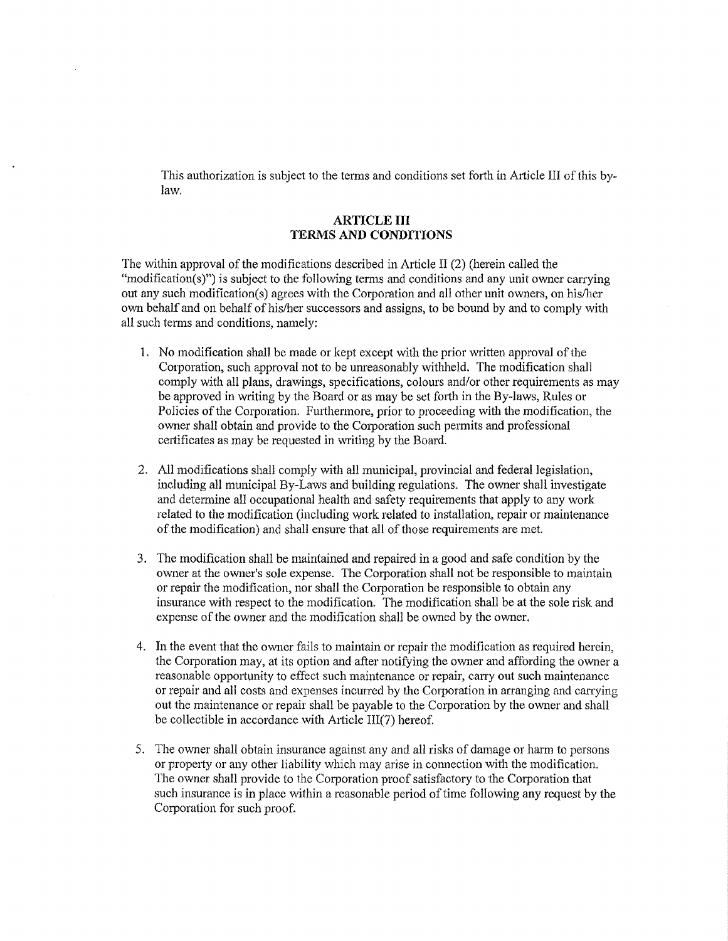This authorization is subject to the terms and conditions set forth in Article III of this bylaw.

## **ARTICLE III TERMS AND CONDITIONS**

The within approval of the modifications described in Article II (2) (herein called the "modification(s)") is subject to the following terms and conditions and any unit owner carrying out any such modification(s) agrees with the Corporation and all other unit owners, on his/her own behalf and on behalf of his/her successors and assigns, to be bound by and to comply with all such terms and conditions, namely:

- 1. No modification shall be made or kept except with the prior written approval of the Corporation, such approval not to be unreasonably withheld. The modification shall comply with all plans, drawings, specifications, colours and/or other requirements as may be approved in writing by the Board or as may be set forth in the By-laws, Rules or Policies of the Corporation. Furthermore, prior to proceeding with the modification, the owner shall obtain and provide to the Corporation such permits and professional certificates as may be requested in writing by the Board.
- 2. All modifications shall comply with all municipal, provincial and federal legislation, including all municipal By-Laws and building regulations. The owner shall investigate and determine all occupational health and safety requirements that apply to any work related to the modification (including work related to installation, repair or maintenance of the modification) and shall ensure that all of those requirements are met.
- 3. The modification shall be maintained and repaired in a good and safe condition by the owner at the owner's sole expense. The Corporation shall not be responsible to maintain or repair the modification, nor shall the Corporation be responsible to obtain any insurance with respect to the modification. The modification shall be at the sole risk and expense of the owner and the modification shall be owned by the owner.
- 4. In the event that the owner fails to maintain or repair the modification as required herein, the Corporation may, at its option and after notifying the owner and affording the owner a reasonable opportunity to effect such maintenance or repair, carry out such maintenance or repair and all costs and expenses incurred by the Corporation in arranging and carrying out the maintenance or repair shall be payable to the Corporation by the owner and shall be collectible in accordance with Atticle III(7) hereof.
- 5. The owner shall obtain insurance against any and all risks of damage or harm to persons or property or any other liability which may arise in connection with the modification. The owner shall provide to the Corporation proof satisfactory to the Corporation that such insurance is in place within a reasonable period of time following any request by the Corporation for such proof.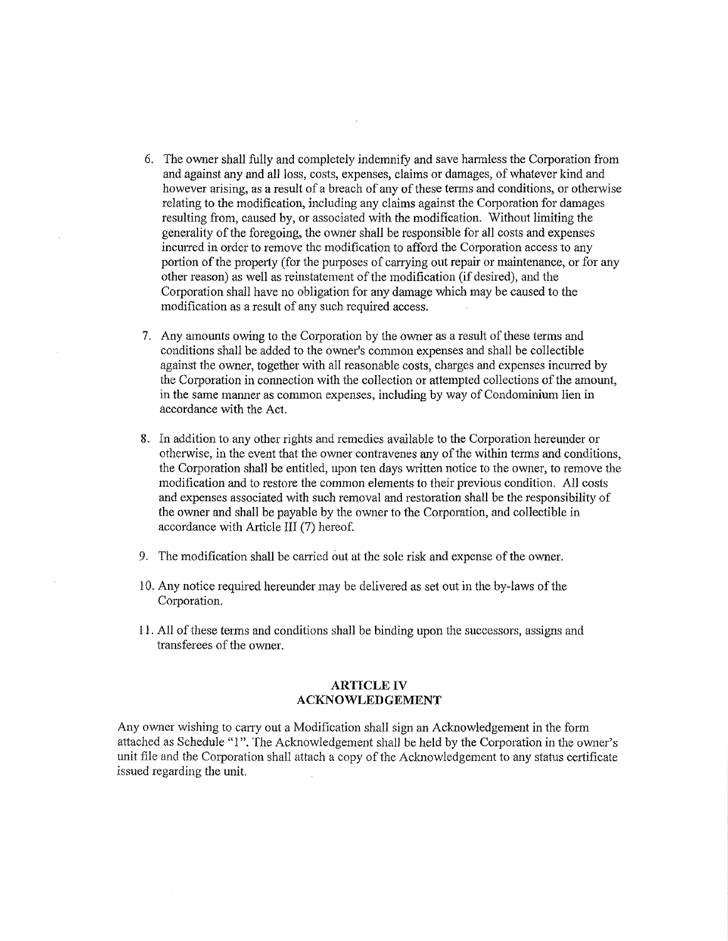- 6. The owner shall fully and completely indemnify and save harmless the Corporation from and against any and all loss, costs, expenses, claims or damages, of whatever kind and however arising, as a result of a breach of any of these terms and conditions, or otherwise relating to the modification, including any claims against the Corporation for damages resulting from, caused by, or associated with the modification. Without limiting the generality of the foregoing, the owner shall be responsible for all costs and expenses incurred in order to remove the modification to afford the Corporation access to any portion of the property (for the purposes of carrying out repair or maintenance, or for any other reason) as well as reinstatement of the modification (if desired), and the Corporation shall have no obligation for any damage which may be caused to the modification as a result of any such required access.
- 7. Any amounts owing to the Corporation by the owner as a result of these terms and conditions shall be added to the owner's common expenses and shall be collectible against the owner, together with all reasonable costs, charges and expenses incurred by the Corporation in connection with the collection or attempted collections of the amount, in the same manner as common expenses, including by way of Condominium lien in accordance with the Act.
- 8. In addition to any other rights and remedies available to the Corporation hereunder or otherwise, in the event that the owner contravenes any of the within terms and conditions, the Corporation shall be entitled, upon ten days written notice to the owner, to remove the modification and to restore the common elements to their previous condition. All costs and expenses associated with such removal and restoration shall be the responsibility of the owner and shall be payable by the owner to the Corporation, and collectible in accordance with Article III (7) hereof.
- 9. The modification shall be carried out at the sole risk and expense of the owner.
- 10. Any notice required hereunder may be delivered as set out in the by-laws of the Corporation.
- l l. All of these terms and conditions shall be binding upon the successors, assigns and transferees of the owner.

## **ARTICLE IV ACKNOWLEDGEMENT**

Any owner wishing to carry out a Modification shall sign an Acknowledgement in the form attached as Schedule "I". The Acknowledgement shall be held by the Corporation in the owner's unit file and the Corporation shall attach a copy of the Acknowledgement to any status certificate issued regarding the unit.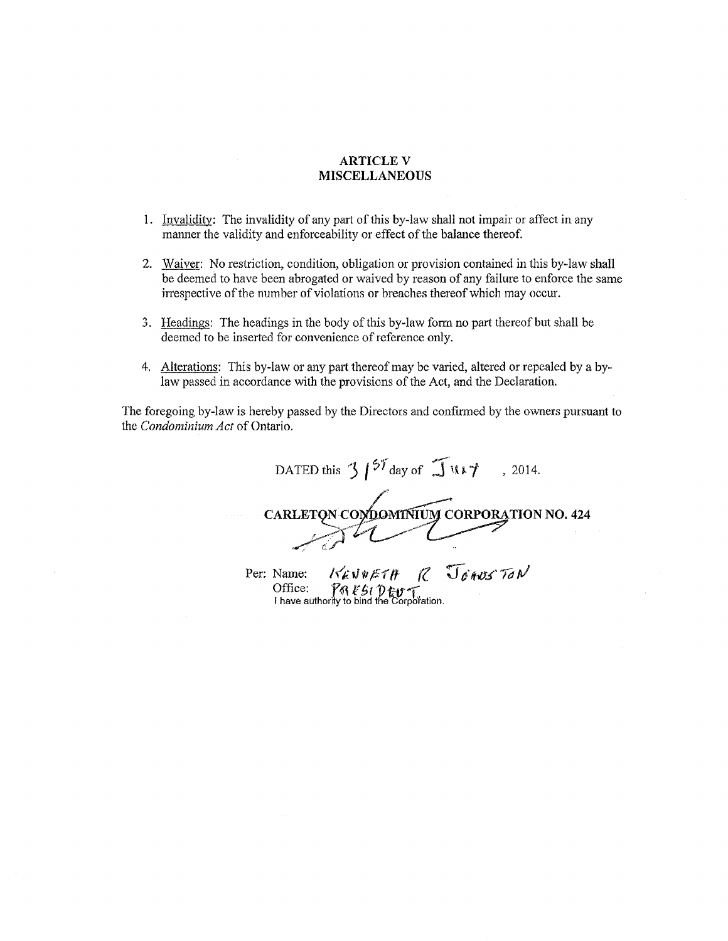## **ARTICLE V MISCELLANEOUS**

- 1. Invalidity: The invalidity of any part of this by-law shall not impair or affect in any manner the validity and enforceability or effect of the balance thereof.
- 2. Waiver: No restriction, condition, obligation or provision contained in this by-law shall be deemed to have been abrogated or waived by reason of any failure to enforce the same irrespective of the number of violations or breaches thereof which may occur.
- 3. Headings: The headings in the body of this by-law form no part thereof but shall be deemed to be inserted for convenience of reference only.
- 4. Alterations: This by-law or any part thereof may be varied, altered or repealed by a bylaw passed in accordance with the provisions of the Act, and the Declaration.

The foregoing by-law is hereby passed by the Directors and confinned by the owners pursuant to the *Condominium Act* of Ontario.

DATED this  $\int_0^{57}$  day of  $\int 14.7$ , 2014. /' CARLETON CONDOMITIUM CORPORATION NO. 424  $7242$ 

Per: Name: KEN0ETH R JOHUS TON Office: *folk 5t Dev* f<br>I have authority to bind the Corporation.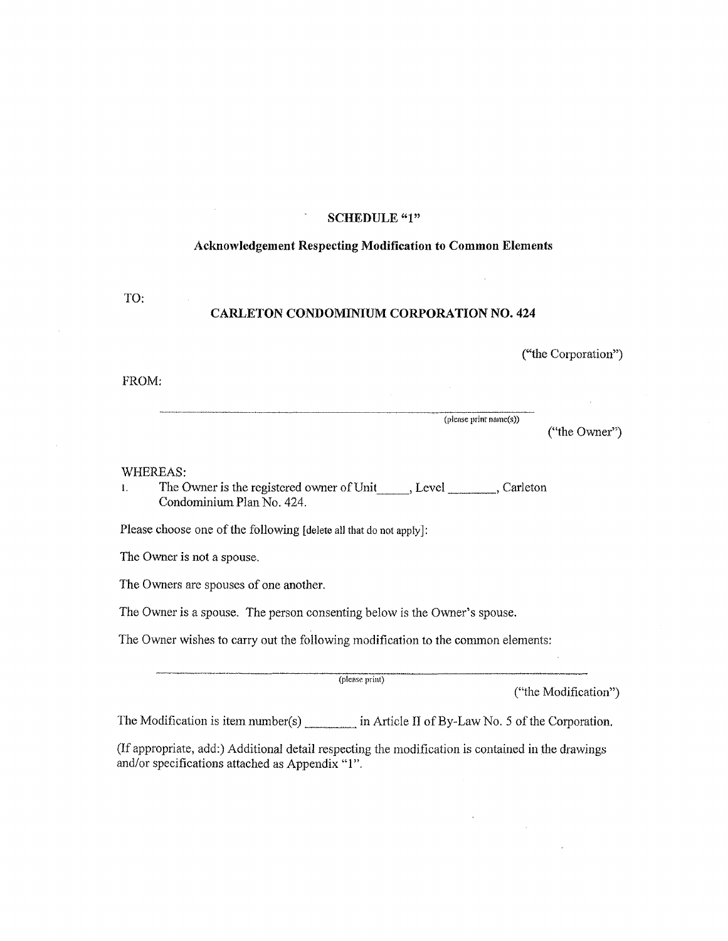## **SCHEDULE "1"**

#### **Acknowledgement Respecting Modification to Common Elements**

TO:

### **CARLETON CONDOMINIUM CORPORATION NO. 424**

("the Corporation")

### PROM:

(plense print name(s))

("the Owner")

#### WHEREAS:

1. The Owner is the registered owner of Unit , Level \_\_\_\_\_\_\_\_, Carleton Condominium Plan No. 424.

Please choose one of the following [delete all that do not apply]:

The Owner is not a spouse.

The Owners are spouses of one another.

The Owner is a spouse. The person consenting below is the Owner's spouse.

The Owner wishes to carry out the following modification to the common elements:

(please print)

("the Modification")

The Modification is item number(s) \_\_\_\_\_\_ in Article II of By-Law No. 5 of the Corporation.

(If appropriate, add:) Additional detail respecting the modification is contained in the drawings and/or specifications attached as Appendix "1".